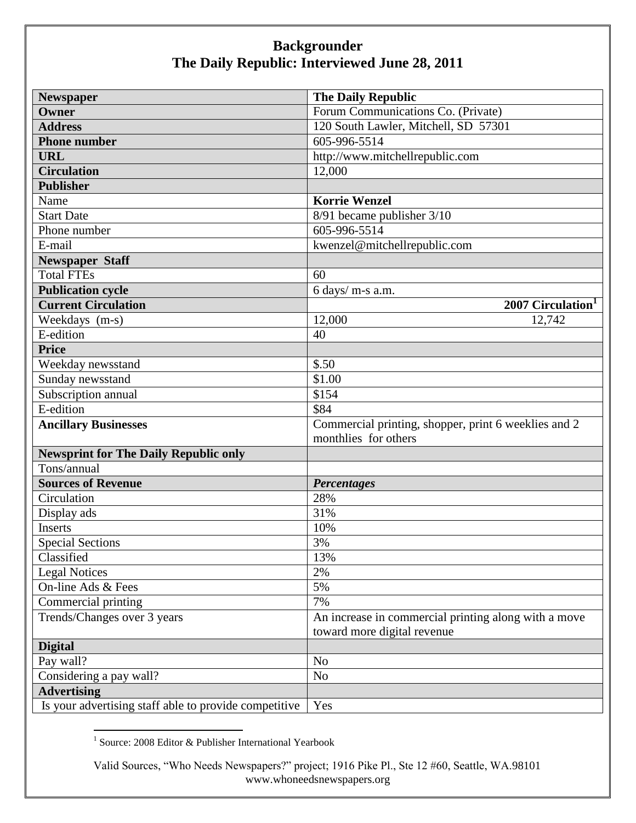| <b>Newspaper</b>                                      | <b>The Daily Republic</b>                            |
|-------------------------------------------------------|------------------------------------------------------|
| Owner                                                 | Forum Communications Co. (Private)                   |
| <b>Address</b>                                        | 120 South Lawler, Mitchell, SD 57301                 |
| <b>Phone number</b>                                   | 605-996-5514                                         |
| <b>URL</b>                                            | http://www.mitchellrepublic.com                      |
| <b>Circulation</b>                                    | 12,000                                               |
| <b>Publisher</b>                                      |                                                      |
| Name                                                  | <b>Korrie Wenzel</b>                                 |
| <b>Start Date</b>                                     | 8/91 became publisher 3/10                           |
| Phone number                                          | 605-996-5514                                         |
| E-mail                                                | kwenzel@mitchellrepublic.com                         |
| <b>Newspaper Staff</b>                                |                                                      |
| <b>Total FTEs</b>                                     | 60                                                   |
| <b>Publication cycle</b>                              | 6 days/ m-s a.m.                                     |
| <b>Current Circulation</b>                            | 2007 Circulation <sup>1</sup>                        |
| Weekdays (m-s)                                        | 12,000<br>12,742                                     |
| E-edition                                             | 40                                                   |
| <b>Price</b>                                          |                                                      |
| Weekday newsstand                                     | \$.50                                                |
| Sunday newsstand                                      | \$1.00                                               |
| Subscription annual                                   | \$154                                                |
| E-edition                                             | \$84                                                 |
| <b>Ancillary Businesses</b>                           | Commercial printing, shopper, print 6 weeklies and 2 |
|                                                       | monthlies for others                                 |
| <b>Newsprint for The Daily Republic only</b>          |                                                      |
| Tons/annual                                           |                                                      |
| <b>Sources of Revenue</b>                             | <b>Percentages</b>                                   |
| Circulation                                           | 28%                                                  |
| Display ads                                           | 31%                                                  |
| <b>Inserts</b>                                        | 10%                                                  |
| <b>Special Sections</b>                               | 3%                                                   |
| Classified                                            | 13%                                                  |
| <b>Legal Notices</b>                                  | 2%                                                   |
| On-line Ads & Fees                                    | 5%                                                   |
| Commercial printing                                   | 7%                                                   |
| Trends/Changes over 3 years                           | An increase in commercial printing along with a move |
|                                                       | toward more digital revenue                          |
| <b>Digital</b>                                        |                                                      |
| Pay wall?                                             | N <sub>o</sub>                                       |
| Considering a pay wall?                               | N <sub>o</sub>                                       |
| <b>Advertising</b>                                    |                                                      |
| Is your advertising staff able to provide competitive | Yes                                                  |

 1 Source: 2008 Editor & Publisher International Yearbook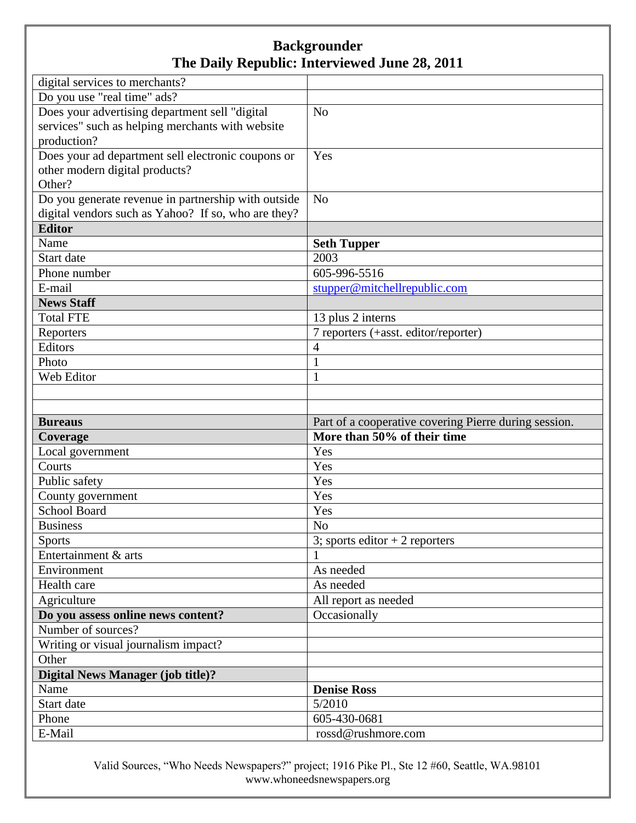| digital services to merchants?                      |                                                       |
|-----------------------------------------------------|-------------------------------------------------------|
| Do you use "real time" ads?                         |                                                       |
| Does your advertising department sell "digital      | N <sub>o</sub>                                        |
| services" such as helping merchants with website    |                                                       |
| production?                                         |                                                       |
| Does your ad department sell electronic coupons or  | Yes                                                   |
| other modern digital products?                      |                                                       |
| Other?                                              |                                                       |
| Do you generate revenue in partnership with outside | N <sub>o</sub>                                        |
| digital vendors such as Yahoo? If so, who are they? |                                                       |
| <b>Editor</b>                                       |                                                       |
| Name                                                | <b>Seth Tupper</b>                                    |
| Start date                                          | 2003                                                  |
| Phone number                                        | 605-996-5516                                          |
| E-mail                                              | stupper@mitchellrepublic.com                          |
| <b>News Staff</b>                                   |                                                       |
| <b>Total FTE</b>                                    | 13 plus 2 interns                                     |
| Reporters                                           | 7 reporters (+asst. editor/reporter)                  |
| Editors                                             | 4                                                     |
| Photo                                               | 1                                                     |
| Web Editor                                          | 1                                                     |
|                                                     |                                                       |
|                                                     |                                                       |
|                                                     |                                                       |
|                                                     |                                                       |
| <b>Bureaus</b>                                      | Part of a cooperative covering Pierre during session. |
| Coverage                                            | More than 50% of their time                           |
| Local government                                    | Yes                                                   |
| Courts                                              | Yes                                                   |
| Public safety                                       | Yes                                                   |
| County government                                   | Yes                                                   |
| <b>School Board</b>                                 | Yes                                                   |
| <b>Business</b>                                     | N <sub>o</sub>                                        |
| <b>Sports</b>                                       | 3; sports editor $+2$ reporters                       |
| Entertainment & arts                                |                                                       |
| Environment                                         | As needed                                             |
| Health care                                         | As needed                                             |
| Agriculture                                         | All report as needed                                  |
| Do you assess online news content?                  | Occasionally                                          |
| Number of sources?                                  |                                                       |
| Writing or visual journalism impact?                |                                                       |
| Other                                               |                                                       |
| <b>Digital News Manager (job title)?</b>            |                                                       |
| Name                                                | <b>Denise Ross</b>                                    |
| Start date                                          | 5/2010                                                |
| Phone<br>E-Mail                                     | 605-430-0681<br>rossd@rushmore.com                    |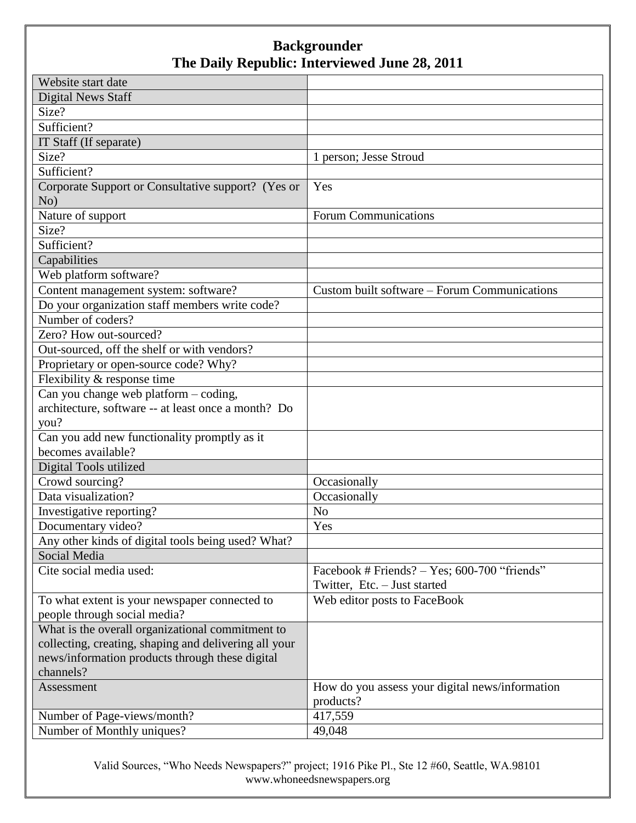| Website start date                                    |                                                 |
|-------------------------------------------------------|-------------------------------------------------|
| <b>Digital News Staff</b>                             |                                                 |
| Size?                                                 |                                                 |
| Sufficient?                                           |                                                 |
| IT Staff (If separate)                                |                                                 |
| Size?                                                 | 1 person; Jesse Stroud                          |
| Sufficient?                                           |                                                 |
| Corporate Support or Consultative support? (Yes or    | Yes                                             |
| No)                                                   |                                                 |
| Nature of support                                     | <b>Forum Communications</b>                     |
| Size?                                                 |                                                 |
| Sufficient?                                           |                                                 |
| Capabilities                                          |                                                 |
| Web platform software?                                |                                                 |
| Content management system: software?                  | Custom built software – Forum Communications    |
| Do your organization staff members write code?        |                                                 |
| Number of coders?                                     |                                                 |
| Zero? How out-sourced?                                |                                                 |
| Out-sourced, off the shelf or with vendors?           |                                                 |
| Proprietary or open-source code? Why?                 |                                                 |
| Flexibility & response time                           |                                                 |
| Can you change web platform - coding,                 |                                                 |
| architecture, software -- at least once a month? Do   |                                                 |
| you?                                                  |                                                 |
| Can you add new functionality promptly as it          |                                                 |
| becomes available?                                    |                                                 |
| Digital Tools utilized                                |                                                 |
| Crowd sourcing?                                       | Occasionally                                    |
| Data visualization?                                   | Occasionally                                    |
| Investigative reporting?                              | N <sub>o</sub>                                  |
| Documentary video?                                    | Yes                                             |
| Any other kinds of digital tools being used? What?    |                                                 |
| Social Media                                          |                                                 |
| Cite social media used:                               | Facebook # Friends? - Yes; 600-700 "friends"    |
|                                                       | Twitter, Etc. - Just started                    |
| To what extent is your newspaper connected to         | Web editor posts to FaceBook                    |
| people through social media?                          |                                                 |
| What is the overall organizational commitment to      |                                                 |
| collecting, creating, shaping and delivering all your |                                                 |
| news/information products through these digital       |                                                 |
| channels?                                             |                                                 |
| Assessment                                            | How do you assess your digital news/information |
|                                                       | products?                                       |
| Number of Page-views/month?                           | 417,559                                         |
| Number of Monthly uniques?                            | 49,048                                          |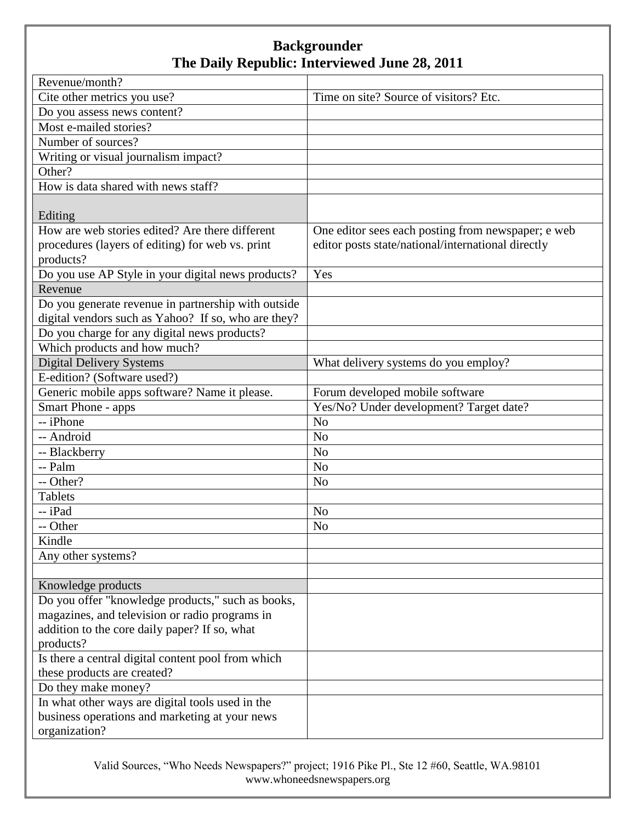| Revenue/month?                                      |                                                    |
|-----------------------------------------------------|----------------------------------------------------|
| Cite other metrics you use?                         | Time on site? Source of visitors? Etc.             |
| Do you assess news content?                         |                                                    |
| Most e-mailed stories?                              |                                                    |
| Number of sources?                                  |                                                    |
| Writing or visual journalism impact?                |                                                    |
| Other?                                              |                                                    |
| How is data shared with news staff?                 |                                                    |
|                                                     |                                                    |
| Editing                                             |                                                    |
| How are web stories edited? Are there different     | One editor sees each posting from newspaper; e web |
| procedures (layers of editing) for web vs. print    | editor posts state/national/international directly |
| products?                                           |                                                    |
| Do you use AP Style in your digital news products?  | Yes                                                |
| Revenue                                             |                                                    |
| Do you generate revenue in partnership with outside |                                                    |
| digital vendors such as Yahoo? If so, who are they? |                                                    |
| Do you charge for any digital news products?        |                                                    |
| Which products and how much?                        |                                                    |
| <b>Digital Delivery Systems</b>                     | What delivery systems do you employ?               |
| E-edition? (Software used?)                         |                                                    |
| Generic mobile apps software? Name it please.       | Forum developed mobile software                    |
| Smart Phone - apps                                  | Yes/No? Under development? Target date?            |
| -- iPhone                                           | N <sub>o</sub>                                     |
| -- Android                                          | N <sub>o</sub>                                     |
| -- Blackberry                                       | N <sub>o</sub>                                     |
| -- Palm                                             | N <sub>o</sub>                                     |
| -- Other?                                           | N <sub>o</sub>                                     |
| <b>Tablets</b>                                      |                                                    |
| -- iPad                                             | N <sub>o</sub>                                     |
| -- Other                                            | N <sub>o</sub>                                     |
| Kindle                                              |                                                    |
| Any other systems?                                  |                                                    |
|                                                     |                                                    |
| Knowledge products                                  |                                                    |
| Do you offer "knowledge products," such as books,   |                                                    |
| magazines, and television or radio programs in      |                                                    |
| addition to the core daily paper? If so, what       |                                                    |
| products?                                           |                                                    |
| Is there a central digital content pool from which  |                                                    |
| these products are created?                         |                                                    |
| Do they make money?                                 |                                                    |
| In what other ways are digital tools used in the    |                                                    |
| business operations and marketing at your news      |                                                    |
| organization?                                       |                                                    |